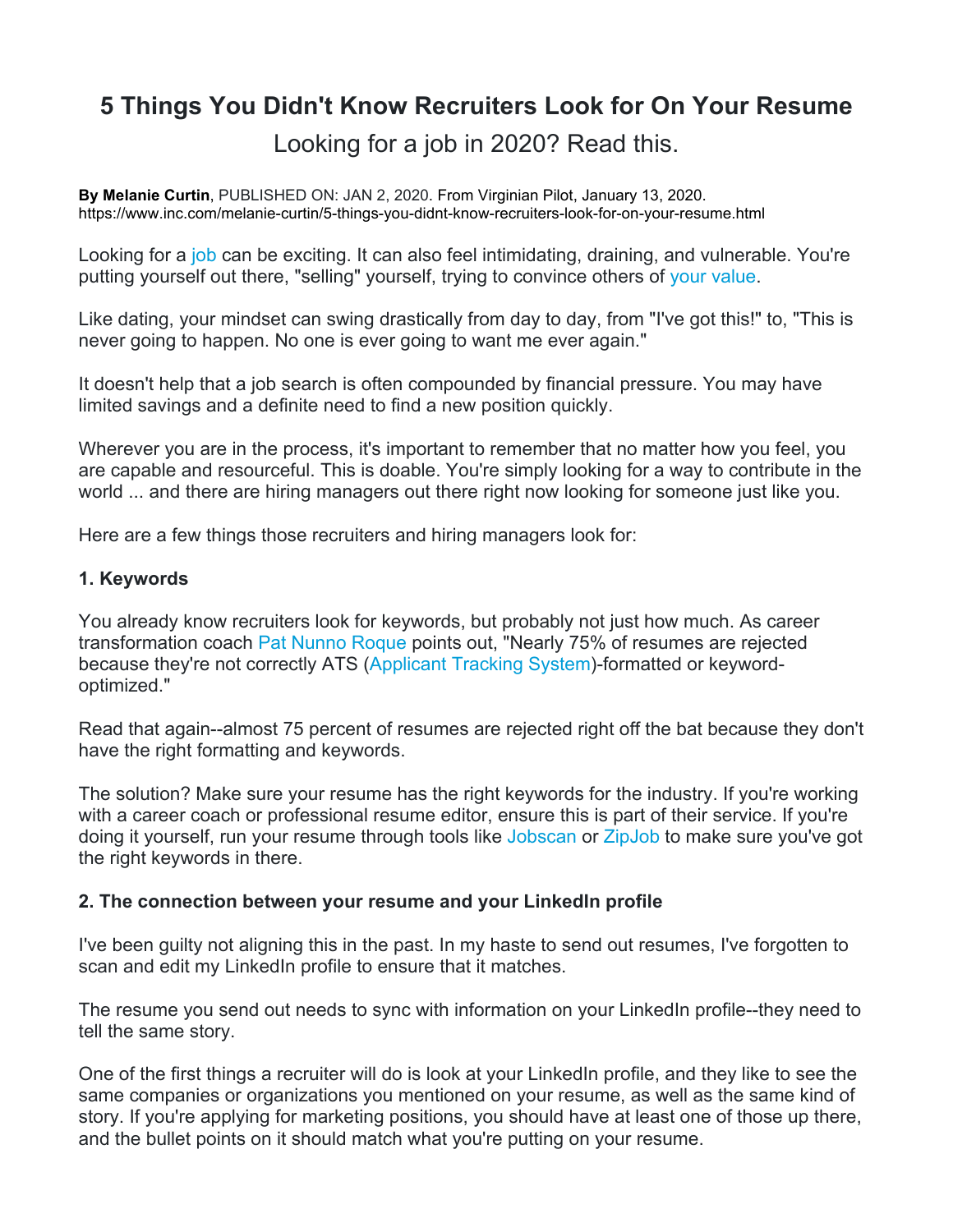# **5 Things You Didn't Know Recruiters Look for On Your Resume**

Looking for a job in 2020? Read this.

**By Melanie Curtin**, PUBLISHED ON: JAN 2, 2020. From Virginian Pilot, January 13, 2020. https://www.inc.com/melanie-curtin/5-things-you-didnt-know-recruiters-look-for-on-your-resume.html

Looking for a job can be exciting. It can also feel intimidating, draining, and vulnerable. You're putting yourself out there, "selling" yourself, trying to convince others of your value.

Like dating, your mindset can swing drastically from day to day, from "I've got this!" to, "This is never going to happen. No one is ever going to want me ever again."

It doesn't help that a job search is often compounded by financial pressure. You may have limited savings and a definite need to find a new position quickly.

Wherever you are in the process, it's important to remember that no matter how you feel, you are capable and resourceful. This is doable. You're simply looking for a way to contribute in the world ... and there are hiring managers out there right now looking for someone just like you.

Here are a few things those recruiters and hiring managers look for:

# **1. Keywords**

You already know recruiters look for keywords, but probably not just how much. As career transformation coach Pat Nunno Roque points out, "Nearly 75% of resumes are rejected because they're not correctly ATS (Applicant Tracking System)-formatted or keywordoptimized."

Read that again--almost 75 percent of resumes are rejected right off the bat because they don't have the right formatting and keywords.

The solution? Make sure your resume has the right keywords for the industry. If you're working with a career coach or professional resume editor, ensure this is part of their service. If you're doing it yourself, run your resume through tools like Jobscan or ZipJob to make sure you've got the right keywords in there.

# **2. The connection between your resume and your LinkedIn profile**

I've been guilty not aligning this in the past. In my haste to send out resumes, I've forgotten to scan and edit my LinkedIn profile to ensure that it matches.

The resume you send out needs to sync with information on your LinkedIn profile--they need to tell the same story.

One of the first things a recruiter will do is look at your LinkedIn profile, and they like to see the same companies or organizations you mentioned on your resume, as well as the same kind of story. If you're applying for marketing positions, you should have at least one of those up there, and the bullet points on it should match what you're putting on your resume.